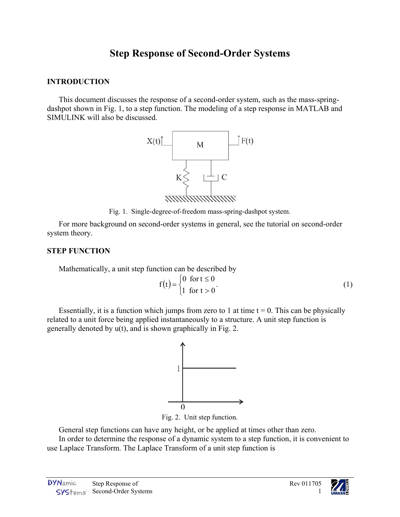# **Step Response of Second-Order Systems**

## **INTRODUCTION**

This document discusses the response of a second-order system, such as the mass-springdashpot shown in [Fig. 1,](#page-0-0) to a step function. The modeling of a step response in MATLAB and

<span id="page-0-0"></span>

Fig. 1. Single-degree-of-freedom mass-spring-dashpot system.

For more background on second-order systems in general, see the tutorial on second-order system theory.

# **STEP FUNCTION**

Mathematically, a unit step function can be described by

$$
f(t) = \begin{cases} 0 & \text{for } t \le 0 \\ 1 & \text{for } t > 0 \end{cases}
$$
 (1)

Essentially, it is a function which jumps from zero to 1 at time  $t = 0$ . This can be physically related to a unit force being applied instantaneously to a structure. A unit step function is generally denoted by u(t), and is shown graphically in [Fig. 2.](#page-0-1)

<span id="page-0-1"></span>

Fig. 2. Unit step function.

General step functions can have any height, or be applied at times other than zero.

In order to determine the response of a dynamic system to a step function, it is convenient to use Laplace Transform. The Laplace Transform of a unit step function is

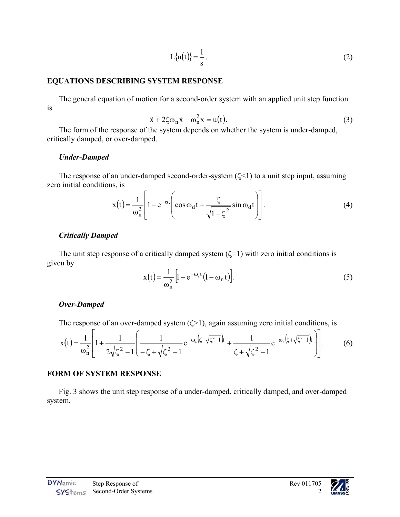<span id="page-1-1"></span><span id="page-1-0"></span>
$$
L\{u(t)\} = \frac{1}{s} \tag{2}
$$

#### **EQUATIONS DESCRIBING SYSTEM RESPONSE**

The general equation of motion for a second-order system with an applied unit step function is

$$
\ddot{x} + 2\zeta \omega_n \dot{x} + \omega_n^2 x = u(t). \tag{3}
$$

The form of the response of the system depends on whether the system is under-damped, critically damped, or over-damped.

#### *Under-Damped*

The response of an under-damped second-order-system  $(\zeta \le 1)$  to a unit step input, assuming zero initial conditions, is

$$
x(t) = \frac{1}{\omega_n^2} \left[ 1 - e^{-\sigma t} \left( \cos \omega_d t + \frac{\zeta}{\sqrt{1 - \zeta^2}} \sin \omega_d t \right) \right].
$$
 (4)

#### *Critically Damped*

The unit step response of a critically damped system  $(\zeta=1)$  with zero initial conditions is given by

<span id="page-1-2"></span>
$$
x(t) = \frac{1}{\omega_n^2} \left[ 1 - e^{-\omega_n t} \left( 1 - \omega_n t \right) \right].
$$
 (5)

#### *Over-Damped*

The response of an over-damped system  $(\zeta>1)$ , again assuming zero initial conditions, is

$$
x(t) = \frac{1}{\omega_n^2} \left[ 1 + \frac{1}{2\sqrt{\zeta^2 - 1}} \left( \frac{1}{-\zeta + \sqrt{\zeta^2 - 1}} e^{-\omega_n \left( \zeta - \sqrt{\zeta^2 - 1} \right) t} + \frac{1}{\zeta + \sqrt{\zeta^2 - 1}} e^{-\omega_n \left( \zeta + \sqrt{\zeta^2 - 1} \right) t} \right) \right].
$$
 (6)

#### **FORM OF SYSTEM RESPONSE**

[Fig. 3](#page-2-0) shows the unit step response of a under-damped, critically damped, and over-damped system.

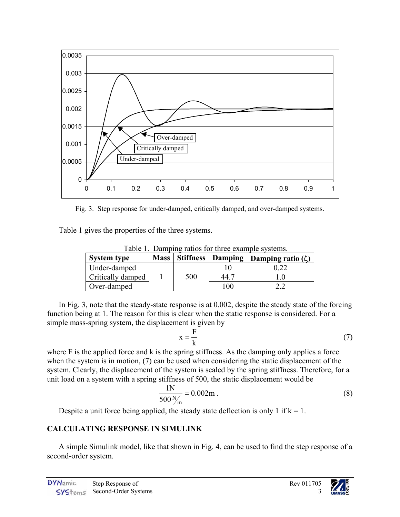

<span id="page-2-0"></span>Fig. 3. Step response for under-damped, critically damped, and over-damped systems.

Table 1 gives the properties of the three systems.

| <b>System type</b>       | <b>Mass</b> |     |      | Table 1. Dailiping ratios for three example systems.<br>  Stiffness   Damping   Damping ratio $(\zeta)$ |
|--------------------------|-------------|-----|------|---------------------------------------------------------------------------------------------------------|
| Under-damped             |             |     |      |                                                                                                         |
| <b>Critically damped</b> |             | 500 | 44.7 |                                                                                                         |
| Over-damped              |             |     | 100  |                                                                                                         |

Table 1. Damping ratios for three example systems.

In [Fig. 3,](#page-2-0) note that the steady-state response is at 0.002, despite the steady state of the forcing function being at 1. The reason for this is clear when the static response is considered. For a simple mass-spring system, the displacement is given by

$$
x = \frac{F}{k} \tag{7}
$$

where F is the applied force and k is the spring stiffness. As the damping only applies a force when the system is in motion, [\(7\)](#page-2-1) can be used when considering the static displacement of the system. Clearly, the displacement of the system is scaled by the spring stiffness. Therefore, for a unit load on a system with a spring stiffness of 500, the static displacement would be

$$
\frac{1N}{500\,\mathrm{N/m}} = 0.002\,\mathrm{m} \,. \tag{8}
$$

Despite a unit force being applied, the steady state deflection is only 1 if  $k = 1$ .

# **CALCULATING RESPONSE IN SIMULINK**

A simple Simulink model, like that shown in [Fig. 4,](#page-3-0) can be used to find the step response of a second-order system.

<span id="page-2-2"></span><span id="page-2-1"></span>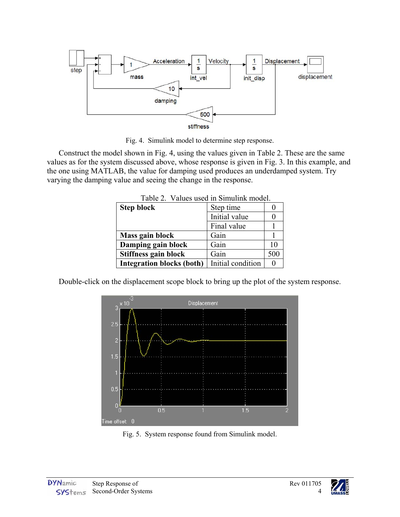<span id="page-3-0"></span>

Fig. 4. Simulink model to determine step response.

Construct the model shown in [Fig. 4,](#page-3-0) using the values given in Table 2. These are the same values as for the system discussed above, whose response is given in [Fig. 3.](#page-2-0) In this example, and the one using MATLAB, the value for damping used produces an underdamped system. Try varying the damping value and seeing the change in the response.

| $10000$ $\mu$ . Thugu upon in Dhinamin modol. |                   |              |  |  |
|-----------------------------------------------|-------------------|--------------|--|--|
| <b>Step block</b>                             | Step time         |              |  |  |
|                                               | Initial value     |              |  |  |
|                                               | Final value       |              |  |  |
| Mass gain block                               | Gain              |              |  |  |
| Damping gain block                            | Gain              | 10           |  |  |
| Stiffness gain block                          | Gain              | 500          |  |  |
| <b>Integration blocks (both)</b>              | Initial condition | $\mathbf{0}$ |  |  |

Table 2. Values used in Simulink model.

Double-click on the displacement scope block to bring up the plot of the system response.



Fig. 5. System response found from Simulink model.